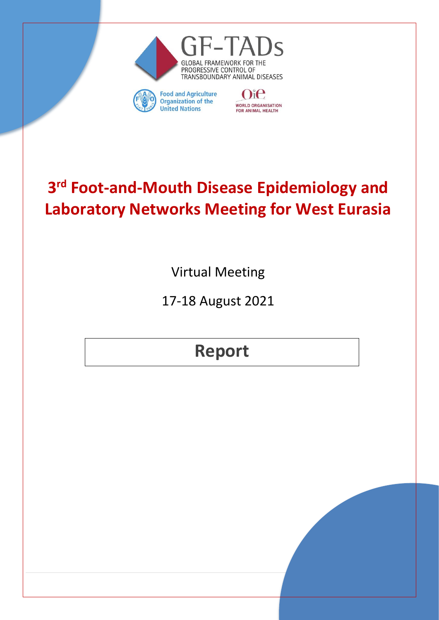

**WORLD ORGANISATION** 

FOR ANIMAL HEALTH

**Organization of the** 

**United Nations** 



Virtual Meeting

17-18 August 2021

**Report**

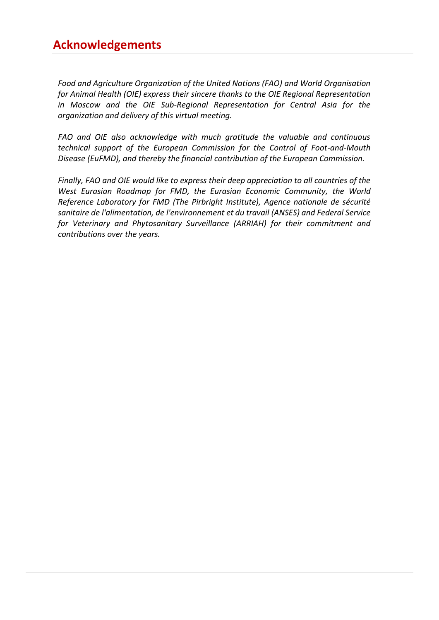# <span id="page-1-0"></span>**Acknowledgements**

*Food and Agriculture Organization of the United Nations (FAO) and World Organisation for Animal Health (OIE) express their sincere thanks to the OIE Regional Representation in Moscow and the OIE Sub-Regional Representation for Central Asia for the organization and delivery of this virtual meeting.*

*FAO and OIE also acknowledge with much gratitude the valuable and continuous technical support of the European Commission for the Control of Foot-and-Mouth Disease (EuFMD), and thereby the financial contribution of the European Commission.*

*Finally, FAO and OIE would like to express their deep appreciation to all countries of the West Eurasian Roadmap for FMD, the Eurasian Economic Community, the World Reference Laboratory for FMD (The Pirbright Institute), Agence nationale de sécurité sanitaire de l'alimentation, de l'environnement et du travail (ANSES) and Federal Service for Veterinary and Phytosanitary Surveillance (ARRIAH) for their commitment and contributions over the years.*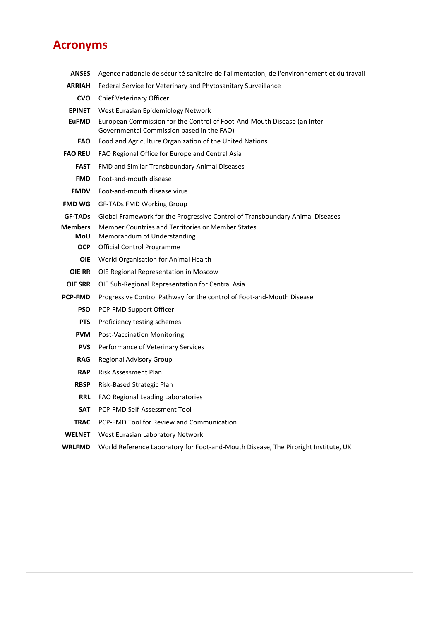# <span id="page-2-0"></span>**Acronyms**

| <b>ANSES</b>                 | Agence nationale de sécurité sanitaire de l'alimentation, de l'environnement et du travail                            |  |  |
|------------------------------|-----------------------------------------------------------------------------------------------------------------------|--|--|
| <b>ARRIAH</b>                | Federal Service for Veterinary and Phytosanitary Surveillance                                                         |  |  |
| <b>CVO</b>                   | Chief Veterinary Officer                                                                                              |  |  |
| <b>EPINET</b>                | West Eurasian Epidemiology Network                                                                                    |  |  |
| <b>EuFMD</b>                 | European Commission for the Control of Foot-And-Mouth Disease (an Inter-<br>Governmental Commission based in the FAO) |  |  |
| <b>FAO</b>                   | Food and Agriculture Organization of the United Nations                                                               |  |  |
| <b>FAO REU</b>               | FAO Regional Office for Europe and Central Asia                                                                       |  |  |
| <b>FAST</b>                  | FMD and Similar Transboundary Animal Diseases                                                                         |  |  |
| <b>FMD</b>                   | Foot-and-mouth disease                                                                                                |  |  |
| <b>FMDV</b>                  | Foot-and-mouth disease virus                                                                                          |  |  |
| <b>FMD WG</b>                | <b>GF-TADs FMD Working Group</b>                                                                                      |  |  |
| <b>GF-TADs</b>               | Global Framework for the Progressive Control of Transboundary Animal Diseases                                         |  |  |
| <b>Members</b><br><b>MoU</b> | Member Countries and Territories or Member States                                                                     |  |  |
| <b>OCP</b>                   | Memorandum of Understanding<br>Official Control Programme                                                             |  |  |
| <b>OIE</b>                   | World Organisation for Animal Health                                                                                  |  |  |
| <b>OIE RR</b>                | OIE Regional Representation in Moscow                                                                                 |  |  |
| <b>OIE SRR</b>               | OIE Sub-Regional Representation for Central Asia                                                                      |  |  |
| <b>PCP-FMD</b>               | Progressive Control Pathway for the control of Foot-and-Mouth Disease                                                 |  |  |
| <b>PSO</b>                   | PCP-FMD Support Officer                                                                                               |  |  |
| <b>PTS</b>                   | Proficiency testing schemes                                                                                           |  |  |
| <b>PVM</b>                   | <b>Post-Vaccination Monitoring</b>                                                                                    |  |  |
| <b>PVS</b>                   | Performance of Veterinary Services                                                                                    |  |  |
| <b>RAG</b>                   | Regional Advisory Group                                                                                               |  |  |
| <b>RAP</b>                   | Risk Assessment Plan                                                                                                  |  |  |
| <b>RBSP</b>                  | Risk-Based Strategic Plan                                                                                             |  |  |
| <b>RRL</b>                   | FAO Regional Leading Laboratories                                                                                     |  |  |
| <b>SAT</b>                   | PCP-FMD Self-Assessment Tool                                                                                          |  |  |
| <b>TRAC</b>                  | PCP-FMD Tool for Review and Communication                                                                             |  |  |
| <b>WELNET</b>                | West Eurasian Laboratory Network                                                                                      |  |  |
| <b>WRLFMD</b>                | World Reference Laboratory for Foot-and-Mouth Disease, The Pirbright Institute, UK                                    |  |  |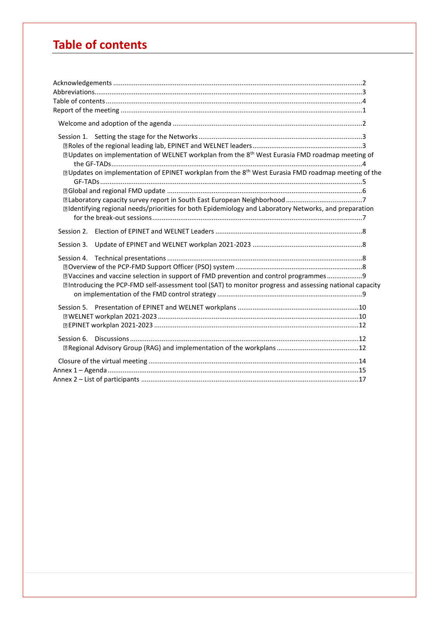# <span id="page-3-0"></span>**Table of contents**

| <b>DUpdates on implementation of WELNET workplan from the 8<sup>th</sup> West Eurasia FMD roadmap meeting of</b><br><b>D</b> Updates on implementation of EPINET workplan from the 8 <sup>th</sup> West Eurasia FMD roadmap meeting of the<br>I Identifying regional needs/priorities for both Epidemiology and Laboratory Networks, and preparation |  |
|------------------------------------------------------------------------------------------------------------------------------------------------------------------------------------------------------------------------------------------------------------------------------------------------------------------------------------------------------|--|
|                                                                                                                                                                                                                                                                                                                                                      |  |
| Session 3.                                                                                                                                                                                                                                                                                                                                           |  |
| DVaccines and vaccine selection in support of FMD prevention and control programmes9<br>I Introducing the PCP-FMD self-assessment tool (SAT) to monitor progress and assessing national capacity                                                                                                                                                     |  |
|                                                                                                                                                                                                                                                                                                                                                      |  |
|                                                                                                                                                                                                                                                                                                                                                      |  |
|                                                                                                                                                                                                                                                                                                                                                      |  |
|                                                                                                                                                                                                                                                                                                                                                      |  |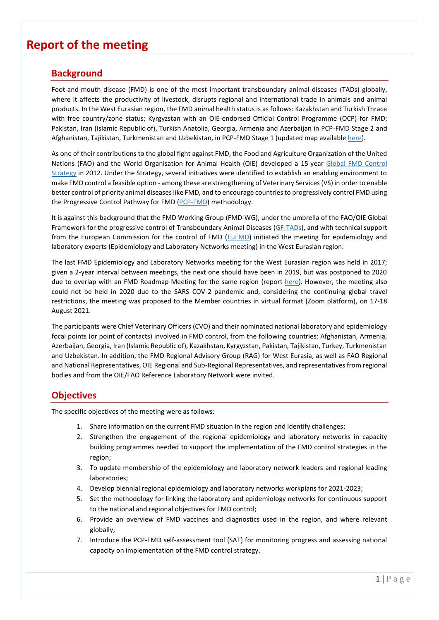# <span id="page-4-0"></span>**Report of the meeting**

## **Background**

Foot-and-mouth disease (FMD) is one of the most important transboundary animal diseases (TADs) globally, where it affects the productivity of livestock, disrupts regional and international trade in animals and animal products. In the West Eurasian region, the FMD animal health status is as follows: Kazakhstan and Turkish Thrace with free country/zone status; Kyrgyzstan with an OIE-endorsed Official Control Programme (OCP) for FMD; Pakistan, Iran (Islamic Republic of), Turkish Anatolia, Georgia, Armenia and Azerbaijan in PCP-FMD Stage 2 and Afghanistan, Tajikistan, Turkmenistan and Uzbekistan, in PCP-FMD Stage 1 (updated map available [here\)](http://www.gf-tads.org/fmd/progress-on-fmd-control-strategy/en/).

As one of their contributions to the global fight against FMD, the Food and Agriculture Organization of the United Nations (FAO) and the World Organisation for Animal Health (OIE) developed a 15-year [Global FMD Control](http://www.fao.org/3/an390e/an390e.pdf)  [Strategy](http://www.fao.org/3/an390e/an390e.pdf) in 2012. Under the Strategy, several initiatives were identified to establish an enabling environment to make FMD control a feasible option - among these are strengthening of Veterinary Services (VS) in order to enable better control of priority animal diseases like FMD, and to encourage countries to progressively control FMD using the Progressive Control Pathway for FMD [\(PCP-FMD\)](http://www.fao.org/3/CA1331EN/ca1331en.pdf) methodology.

It is against this background that the FMD Working Group (FMD-WG), under the umbrella of the FAO/OIE Global Framework for the progressive control of Transboundary Animal Diseases [\(GF-TADs\)](http://www.gf-tads.org/fmd/fmd/en/), and with technical support from the European Commission for the control of FMD [\(EuFMD\)](http://www.fao.org/eufmd/what-we-do/pillar-3/component-31/fr/) initiated the meeting for epidemiology and laboratory experts (Epidemiology and Laboratory Networks meeting) in the West Eurasian region.

The last FMD Epidemiology and Laboratory Networks meeting for the West Eurasian region was held in 2017; given a 2-year interval between meetings, the next one should have been in 2019, but was postponed to 2020 due to overlap with an FMD Roadmap Meeting for the same region (report [here\)](http://www.gf-tads.org/events/events-detail/en/c/1151911/). However, the meeting also could not be held in 2020 due to the SARS COV-2 pandemic and, considering the continuing global travel restrictions, the meeting was proposed to the Member countries in virtual format (Zoom platform), on 17-18 August 2021.

The participants were Chief Veterinary Officers (CVO) and their nominated national laboratory and epidemiology focal points (or point of contacts) involved in FMD control, from the following countries: Afghanistan, Armenia, Azerbaijan, Georgia, Iran (Islamic Republic of), Kazakhstan, Kyrgyzstan, Pakistan, Tajikistan, Turkey, Turkmenistan and Uzbekistan. In addition, the FMD Regional Advisory Group (RAG) for West Eurasia, as well as FAO Regional and National Representatives, OIE Regional and Sub-Regional Representatives, and representatives from regional bodies and from the OIE/FAO Reference Laboratory Network were invited.

# **Objectives**

The specific objectives of the meeting were as follows:

- 1. Share information on the current FMD situation in the region and identify challenges;
- 2. Strengthen the engagement of the regional epidemiology and laboratory networks in capacity building programmes needed to support the implementation of the FMD control strategies in the region;
- 3. To update membership of the epidemiology and laboratory network leaders and regional leading laboratories;
- 4. Develop biennial regional epidemiology and laboratory networks workplans for 2021-2023;
- 5. Set the methodology for linking the laboratory and epidemiology networks for continuous support to the national and regional objectives for FMD control;
- 6. Provide an overview of FMD vaccines and diagnostics used in the region, and where relevant globally;
- 7. Introduce the PCP-FMD self-assessment tool (SAT) for monitoring progress and assessing national capacity on implementation of the FMD control strategy.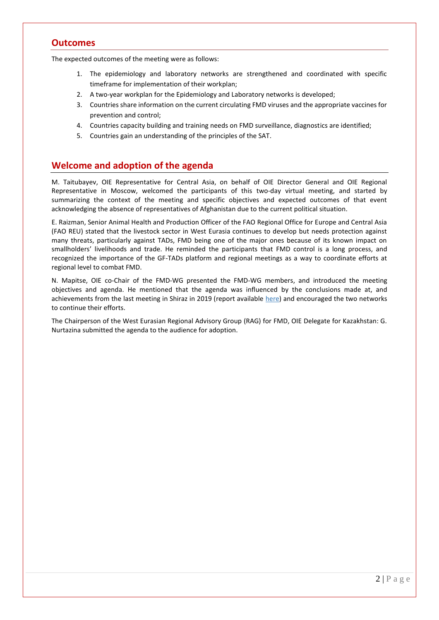### **Outcomes**

The expected outcomes of the meeting were as follows:

- 1. The epidemiology and laboratory networks are strengthened and coordinated with specific timeframe for implementation of their workplan;
- 2. A two-year workplan for the Epidemiology and Laboratory networks is developed;
- 3. Countries share information on the current circulating FMD viruses and the appropriate vaccines for prevention and control;
- 4. Countries capacity building and training needs on FMD surveillance, diagnostics are identified;
- 5. Countries gain an understanding of the principles of the SAT.

## <span id="page-5-0"></span>**Welcome and adoption of the agenda**

M. Taitubayev, OIE Representative for Central Asia, on behalf of OIE Director General and OIE Regional Representative in Moscow, welcomed the participants of this two-day virtual meeting, and started by summarizing the context of the meeting and specific objectives and expected outcomes of that event acknowledging the absence of representatives of Afghanistan due to the current political situation.

E. Raizman, Senior Animal Health and Production Officer of the FAO Regional Office for Europe and Central Asia (FAO REU) stated that the livestock sector in West Eurasia continues to develop but needs protection against many threats, particularly against TADs, FMD being one of the major ones because of its known impact on smallholders' livelihoods and trade. He reminded the participants that FMD control is a long process, and recognized the importance of the GF-TADs platform and regional meetings as a way to coordinate efforts at regional level to combat FMD.

N. Mapitse, OIE co-Chair of the FMD-WG presented the FMD-WG members, and introduced the meeting objectives and agenda. He mentioned that the agenda was influenced by the conclusions made at, and achievements from the last meeting in Shiraz in 2019 (report available [here\)](http://www.gf-tads.org/events/events-detail/en/c/1151911/) and encouraged the two networks to continue their efforts.

The Chairperson of the West Eurasian Regional Advisory Group (RAG) for FMD, OIE Delegate for Kazakhstan: G. Nurtazina submitted the agenda to the audience for adoption.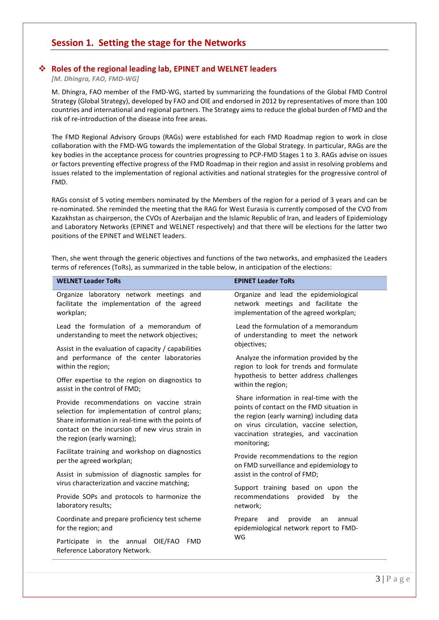## <span id="page-6-0"></span>**Session 1. Setting the stage for the Networks**

#### <span id="page-6-1"></span>❖ **Roles of the regional leading lab, EPINET and WELNET leaders**

*[M. Dhingra, FAO, FMD-WG]*

M. Dhingra, FAO member of the FMD-WG, started by summarizing the foundations of the Global FMD Control Strategy (Global Strategy), developed by FAO and OIE and endorsed in 2012 by representatives of more than 100 countries and international and regional partners. The Strategy aims to reduce the global burden of FMD and the risk of re-introduction of the disease into free areas.

The FMD Regional Advisory Groups (RAGs) were established for each FMD Roadmap region to work in close collaboration with the FMD-WG towards the implementation of the Global Strategy. In particular, RAGs are the key bodies in the acceptance process for countries progressing to PCP-FMD Stages 1 to 3. RAGs advise on issues or factors preventing effective progress of the FMD Roadmap in their region and assist in resolving problems and issues related to the implementation of regional activities and national strategies for the progressive control of FMD.

RAGs consist of 5 voting members nominated by the Members of the region for a period of 3 years and can be re-nominated. She reminded the meeting that the RAG for West Eurasia is currently composed of the CVO from Kazakhstan as chairperson, the CVOs of Azerbaijan and the Islamic Republic of Iran, and leaders of Epidemiology and Laboratory Networks (EPINET and WELNET respectively) and that there will be elections for the latter two positions of the EPINET and WELNET leaders.

Then, she went through the generic objectives and functions of the two networks, and emphasized the Leaders terms of references (ToRs), as summarized in the table below, in anticipation of the elections:

| <b>WELNET Leader ToRs</b>                                                                                                                                                             | <b>EPINET Leader ToRs</b>                                                                                                                                                                    |  |
|---------------------------------------------------------------------------------------------------------------------------------------------------------------------------------------|----------------------------------------------------------------------------------------------------------------------------------------------------------------------------------------------|--|
| Organize laboratory network meetings and<br>facilitate the implementation of the agreed<br>workplan;                                                                                  | Organize and lead the epidemiological<br>network meetings and facilitate the<br>implementation of the agreed workplan;                                                                       |  |
| Lead the formulation of a memorandum of<br>understanding to meet the network objectives;                                                                                              | Lead the formulation of a memorandum<br>of understanding to meet the network                                                                                                                 |  |
| Assist in the evaluation of capacity / capabilities<br>and performance of the center laboratories<br>within the region;<br>Offer expertise to the region on diagnostics to            | objectives;<br>Analyze the information provided by the<br>region to look for trends and formulate<br>hypothesis to better address challenges                                                 |  |
| assist in the control of FMD;<br>Provide recommendations on vaccine strain                                                                                                            | within the region;<br>Share information in real-time with the                                                                                                                                |  |
| selection for implementation of control plans;<br>Share information in real-time with the points of<br>contact on the incursion of new virus strain in<br>the region (early warning); | points of contact on the FMD situation in<br>the region (early warning) including data<br>on virus circulation, vaccine selection,<br>vaccination strategies, and vaccination<br>monitoring; |  |
| Facilitate training and workshop on diagnostics<br>per the agreed workplan;                                                                                                           | Provide recommendations to the region<br>on FMD surveillance and epidemiology to                                                                                                             |  |
| Assist in submission of diagnostic samples for<br>virus characterization and vaccine matching;                                                                                        | assist in the control of FMD;                                                                                                                                                                |  |
| Provide SOPs and protocols to harmonize the<br>laboratory results;                                                                                                                    | Support training based on upon the<br>recommendations<br>provided<br>by<br>the<br>network;                                                                                                   |  |
| Coordinate and prepare proficiency test scheme<br>for the region; and                                                                                                                 | provide<br>Prepare<br>and<br>annual<br>an<br>epidemiological network report to FMD-                                                                                                          |  |
| <b>FMD</b><br>Participate in the annual<br>OIE/FAO<br>Reference Laboratory Network.                                                                                                   | WG                                                                                                                                                                                           |  |
|                                                                                                                                                                                       |                                                                                                                                                                                              |  |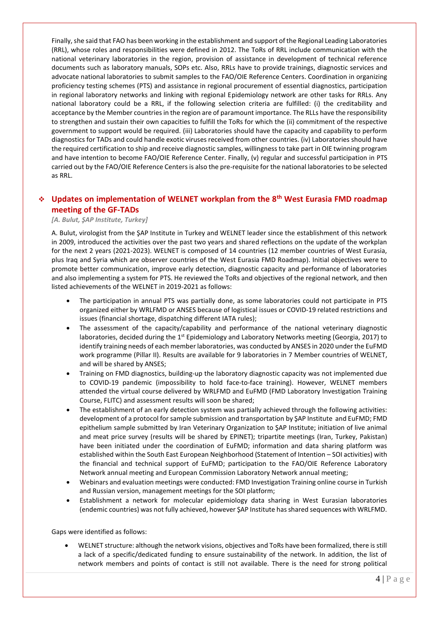Finally, she said that FAO has been working in the establishment and support of the Regional Leading Laboratories (RRL), whose roles and responsibilities were defined in 2012. The ToRs of RRL include communication with the national veterinary laboratories in the region, provision of assistance in development of technical reference documents such as laboratory manuals, SOPs etc. Also, RRLs have to provide trainings, diagnostic services and advocate national laboratories to submit samples to the FAO/OIE Reference Centers. Coordination in organizing proficiency testing schemes (PTS) and assistance in regional procurement of essential diagnostics, participation in regional laboratory networks and linking with regional Epidemiology network are other tasks for RRLs. Any national laboratory could be a RRL, if the following selection criteria are fulfilled: (i) the creditability and acceptance by the Member countries in the region are of paramount importance. The RLLs have the responsibility to strengthen and sustain their own capacities to fulfill the ToRs for which the (ii) commitment of the respective government to support would be required. (iii) Laboratories should have the capacity and capability to perform diagnostics for TADs and could handle exotic viruses received from other countries. (iv) Laboratories should have the required certification to ship and receive diagnostic samples, willingness to take part in OIE twinning program and have intention to become FAO/OIE Reference Center. Finally, (v) regular and successful participation in PTS carried out by the FAO/OIE Reference Centers is also the pre-requisite for the national laboratories to be selected as RRL.

### <span id="page-7-0"></span>❖ **Updates on implementation of WELNET workplan from the 8th West Eurasia FMD roadmap meeting of the GF-TADs**

#### *[A. Bulut, ŞAP Institute, Turkey]*

A. Bulut, virologist from the ŞAP Institute in Turkey and WELNET leader since the establishment of this network in 2009, introduced the activities over the past two years and shared reflections on the update of the workplan for the next 2 years (2021-2023). WELNET is composed of 14 countries (12 member countries of West Eurasia, plus Iraq and Syria which are observer countries of the West Eurasia FMD Roadmap). Initial objectives were to promote better communication, improve early detection, diagnostic capacity and performance of laboratories and also implementing a system for PTS. He reviewed the ToRs and objectives of the regional network, and then listed achievements of the WELNET in 2019-2021 as follows:

- The participation in annual PTS was partially done, as some laboratories could not participate in PTS organized either by WRLFMD or ANSES because of logistical issues or COVID-19 related restrictions and issues (financial shortage, dispatching different IATA rules);
- The assessment of the capacity/capability and performance of the national veterinary diagnostic laboratories, decided during the 1<sup>st</sup> Epidemiology and Laboratory Networks meeting (Georgia, 2017) to identify training needs of each member laboratories, was conducted by ANSES in 2020 under the EuFMD work programme (Pillar II). Results are available for 9 laboratories in 7 Member countries of WELNET, and will be shared by ANSES;
- Training on FMD diagnostics, building-up the laboratory diagnostic capacity was not implemented due to COVID-19 pandemic (impossibility to hold face-to-face training). However, WELNET members attended the virtual course delivered by WRLFMD and EuFMD (FMD Laboratory Investigation Training Course, FLITC) and assessment results will soon be shared;
- The establishment of an early detection system was partially achieved through the following activities: development of a protocol for sample submission and transportation by ŞAP Institute and EuFMD; FMD epithelium sample submitted by Iran Veterinary Organization to ŞAP Institute; initiation of live animal and meat price survey (results will be shared by EPINET); tripartite meetings (Iran, Turkey, Pakistan) have been initiated under the coordination of EuFMD; information and data sharing platform was established within the South East European Neighborhood (Statement of Intention – SOI activities) with the financial and technical support of EuFMD; participation to the FAO/OIE Reference Laboratory Network annual meeting and European Commission Laboratory Network annual meeting;
- Webinars and evaluation meetings were conducted: FMD Investigation Training online course in Turkish and Russian version, management meetings for the SOI platform;
- Establishment a network for molecular epidemiology data sharing in West Eurasian laboratories (endemic countries) was not fully achieved, however ŞAP Institute has shared sequences with WRLFMD.

Gaps were identified as follows:

• WELNET structure: although the network visions, objectives and ToRs have been formalized, there is still a lack of a specific/dedicated funding to ensure sustainability of the network. In addition, the list of network members and points of contact is still not available. There is the need for strong political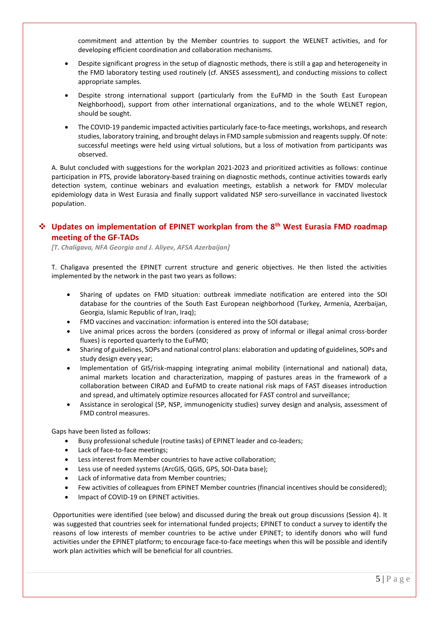commitment and attention by the Member countries to support the WELNET activities, and for developing efficient coordination and collaboration mechanisms.

- Despite significant progress in the setup of diagnostic methods, there is still a gap and heterogeneity in the FMD laboratory testing used routinely (cf. ANSES assessment), and conducting missions to collect appropriate samples.
- Despite strong international support (particularly from the EuFMD in the South East European Neighborhood), support from other international organizations, and to the whole WELNET region, should be sought.
- The COVID-19 pandemic impacted activities particularly face-to-face meetings, workshops, and research studies, laboratory training, and brought delays in FMD sample submission and reagents supply. Of note: successful meetings were held using virtual solutions, but a loss of motivation from participants was observed.

A. Bulut concluded with suggestions for the workplan 2021-2023 and prioritized activities as follows: continue participation in PTS, provide laboratory-based training on diagnostic methods, continue activities towards early detection system, continue webinars and evaluation meetings, establish a network for FMDV molecular epidemiology data in West Eurasia and finally support validated NSP sero-surveillance in vaccinated livestock population.

### <span id="page-8-0"></span>❖ **Updates on implementation of EPINET workplan from the 8th West Eurasia FMD roadmap meeting of the GF-TADs**

*[T. Chaligava, NFA Georgia and J. Aliyev, AFSA Azerbaijan]*

T. Chaligava presented the EPINET current structure and generic objectives. He then listed the activities implemented by the network in the past two years as follows:

- Sharing of updates on FMD situation: outbreak immediate notification are entered into the SOI database for the countries of the South East European neighborhood (Turkey, Armenia, Azerbaijan, Georgia, Islamic Republic of Iran, Iraq);
- FMD vaccines and vaccination: information is entered into the SOI database;
- Live animal prices across the borders (considered as proxy of informal or illegal animal cross-border fluxes) is reported quarterly to the EuFMD;
- Sharing of guidelines, SOPs and national control plans: elaboration and updating of guidelines, SOPs and study design every year;
- Implementation of GIS/risk-mapping integrating animal mobility (international and national) data, animal markets location and characterization, mapping of pastures areas in the framework of a collaboration between CIRAD and EuFMD to create national risk maps of FAST diseases introduction and spread, and ultimately optimize resources allocated for FAST control and surveillance;
- Assistance in serological (SP, NSP, immunogenicity studies) survey design and analysis, assessment of FMD control measures.

Gaps have been listed as follows:

- Busy professional schedule (routine tasks) of EPINET leader and co-leaders;
- Lack of face-to-face meetings;
- Less interest from Member countries to have active collaboration;
- Less use of needed systems (ArcGIS, QGIS, GPS, SOI-Data base);
- Lack of informative data from Member countries;
- Few activities of colleagues from EPINET Member countries (financial incentives should be considered);
- Impact of COVID-19 on EPINET activities.

Opportunities were identified (see below) and discussed during the break out group discussions (Session 4). It was suggested that countries seek for international funded projects; EPINET to conduct a survey to identify the reasons of low interests of member countries to be active under EPINET; to identify donors who will fund activities under the EPINET platform; to encourage face-to-face meetings when this will be possible and identify work plan activities which will be beneficial for all countries.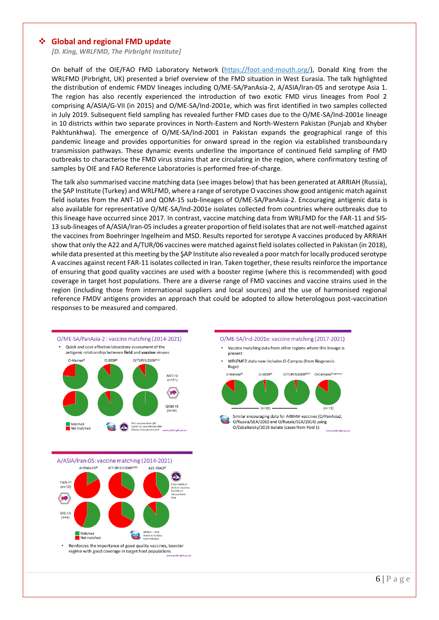#### <span id="page-9-0"></span>❖ **Global and regional FMD update**

 *[D. King, WRLFMD, The Pirbright Institute]*

On behalf of the OIE/FAO FMD Laboratory Network (https://foot-and-mouth.org/), Donald King from the WRLFMD (Pirbright, UK) presented a brief overview of the FMD situation in West Eurasia. The talk highlighted the distribution of endemic FMDV lineages including O/ME-SA/PanAsia-2, A/ASIA/Iran-05 and serotype Asia 1. The region has also recently experienced the introduction of two exotic FMD virus lineages from Pool 2 comprising A/ASIA/G-VII (in 2015) and O/ME-SA/Ind-2001e, which was first identified in two samples collected in July 2019. Subsequent field sampling has revealed further FMD cases due to the O/ME-SA/Ind-2001e lineage in 10 districts within two separate provinces in North-Eastern and North-Western Pakistan (Punjab and Khyber Pakhtunkhwa). The emergence of O/ME-SA/Ind-2001 in Pakistan expands the geographical range of this pandemic lineage and provides opportunities for onward spread in the region via established transboundary transmission pathways. These dynamic events underline the importance of continued field sampling of FMD outbreaks to characterise the FMD virus strains that are circulating in the region, where confirmatory testing of samples by OIE and FAO Reference Laboratories is performed free-of-charge.

The talk also summarised vaccine matching data (see images below) that has been generated at ARRIAH (Russia), the ŞAP Institute (Turkey) and WRLFMD, where a range of serotype O vaccines show good antigenic match against field isolates from the ANT-10 and QOM-15 sub-lineages of O/ME-SA/PanAsia-2. Encouraging antigenic data is also available for representative O/ME-SA/Ind-2001e isolates collected from countries where outbreaks due to this lineage have occurred since 2017. In contrast, vaccine matching data from WRLFMD for the FAR-11 and SIS-13 sub-lineages of A/ASIA/Iran-05 includes a greater proportion of field isolates that are not well-matched against the vaccines from Boehringer Ingelheim and MSD. Results reported for serotype A vaccines produced by ARRIAH show that only the A22 and A/TUR/06 vaccines were matched against field isolates collected in Pakistan (in 2018), while data presented at this meeting by the ŞAP Institute also revealed a poor match for locally produced serotype A vaccines against recent FAR-11 isolates collected in Iran. Taken together, these results reinforce the importance of ensuring that good quality vaccines are used with a booster regime (where this is recommended) with good coverage in target host populations. There are a diverse range of FMD vaccines and vaccine strains used in the region (including those from international suppliers and local sources) and the use of harmonised regional reference FMDV antigens provides an approach that could be adopted to allow heterologous post-vaccination responses to be measured and compared.

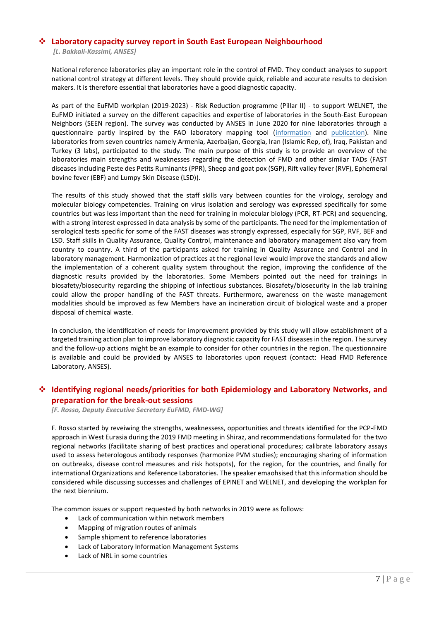#### <span id="page-10-0"></span>❖ **Laboratory capacity survey report in South East European Neighbourhood**

*[L. Bakkali-Kassimi, ANSES]*

National reference laboratories play an important role in the control of FMD. They conduct analyses to support national control strategy at different levels. They should provide quick, reliable and accurate results to decision makers. It is therefore essential that laboratories have a good diagnostic capacity.

As part of the EuFMD workplan (2019-2023) - Risk Reduction programme (Pillar II) - to support WELNET, the EuFMD initiated a survey on the different capacities and expertise of laboratories in the South-East European Neighbors (SEEN region). The survey was conducted by ANSES in June 2020 for nine laboratories through a questionnaire partly inspired by the FAO laboratory mapping tool [\(information](http://www.fao.org/ag/againfo/programmes/en/empres/news_130514.html) and [publication\)](https://www.researchgate.net/publication/323776970_A_Tool_for_Assessment_of_Animal_Health_Laboratory_Safety_and_Biosecurity_The_Safety_Module_of_the_Food_and_Agriculture_Organization). Nine laboratories from seven countries namely Armenia, Azerbaijan, Georgia, Iran (Islamic Rep, of), Iraq, Pakistan and Turkey (3 labs), participated to the study. The main purpose of this study is to provide an overview of the laboratories main strengths and weaknesses regarding the detection of FMD and other similar TADs (FAST diseases including Peste des Petits Ruminants (PPR), Sheep and goat pox (SGP), Rift valley fever (RVF), Ephemeral bovine fever (EBF) and Lumpy Skin Disease (LSD)).

The results of this study showed that the staff skills vary between counties for the virology, serology and molecular biology competencies. Training on virus isolation and serology was expressed specifically for some countries but was less important than the need for training in molecular biology (PCR, RT-PCR) and sequencing, with a strong interest expressed in data analysis by some of the participants. The need for the implementation of serological tests specific for some of the FAST diseases was strongly expressed, especially for SGP, RVF, BEF and LSD. Staff skills in Quality Assurance, Quality Control, maintenance and laboratory management also vary from country to country. A third of the participants asked for training in Quality Assurance and Control and in laboratory management. Harmonization of practices at the regional level would improve the standards and allow the implementation of a coherent quality system throughout the region, improving the confidence of the diagnostic results provided by the laboratories. Some Members pointed out the need for trainings in biosafety/biosecurity regarding the shipping of infectious substances. Biosafety/biosecurity in the lab training could allow the proper handling of the FAST threats. Furthermore, awareness on the waste management modalities should be improved as few Members have an incineration circuit of biological waste and a proper disposal of chemical waste.

In conclusion, the identification of needs for improvement provided by this study will allow establishment of a targeted training action plan to improve laboratory diagnostic capacity for FAST diseases in the region. The survey and the follow-up actions might be an example to consider for other countries in the region. The questionnaire is available and could be provided by ANSES to laboratories upon request (contact: Head FMD Reference Laboratory, ANSES).

#### <span id="page-10-1"></span>❖ **Identifying regional needs/priorities for both Epidemiology and Laboratory Networks, and preparation for the break-out sessions**

*[F. Rosso, Deputy Executive Secretary EuFMD, FMD-WG]*

F. Rosso started by reveiwing the strengths, weaknessess, opportunities and threats identified for the PCP-FMD approach in West Eurasia during the 2019 FMD meeting in Shiraz, and recommendations formulated for the two regional networks (facilitate sharing of best practices and operational procedures; calibrate laboratory assays used to assess heterologous antibody responses (harmonize PVM studies); encouraging sharing of information on outbreaks, disease control measures and risk hotspots), for the region, for the countries, and finally for international Organizations and Reference Laboratories. The speaker emaohsised that this information should be considered while discussing successes and challenges of EPINET and WELNET, and developing the workplan for the next biennium.

The common issues or support requested by both networks in 2019 were as follows:

- Lack of communication within network members
- Mapping of migration routes of animals
- Sample shipment to reference laboratories
- Lack of Laboratory Information Management Systems
- Lack of NRL in some countries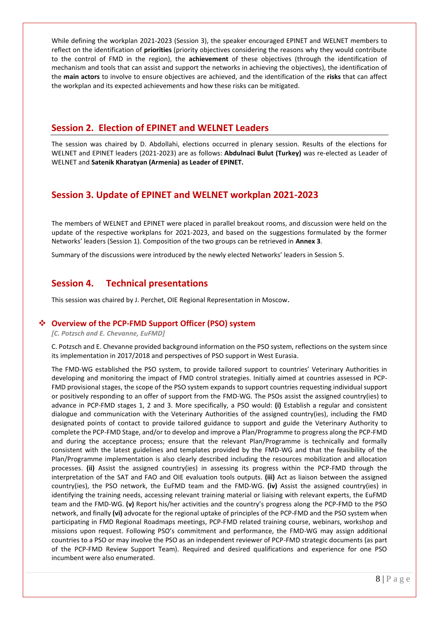While defining the workplan 2021-2023 (Session 3), the speaker encouraged EPINET and WELNET members to reflect on the identification of **priorities** (priority objectives considering the reasons why they would contribute to the control of FMD in the region), the **achievement** of these objectives (through the identification of mechanism and tools that can assist and support the networks in achieving the objectives), the identification of the **main actors** to involve to ensure objectives are achieved, and the identification of the **risks** that can affect the workplan and its expected achievements and how these risks can be mitigated.

## <span id="page-11-0"></span>**Session 2. Election of EPINET and WELNET Leaders**

The session was chaired by D. Abdollahi, elections occurred in plenary session. Results of the elections for WELNET and EPINET leaders (2021-2023) are as follows: **Abdulnaci Bulut (Turkey)** was re-elected as Leader of WELNET and **Satenik Kharatyan (Armenia) as Leader of EPINET.**

# <span id="page-11-1"></span>**Session 3. Update of EPINET and WELNET workplan 2021-2023**

The members of WELNET and EPINET were placed in parallel breakout rooms, and discussion were held on the update of the respective workplans for 2021-2023, and based on the suggestions formulated by the former Networks' leaders (Session 1). Composition of the two groups can be retrieved in **Annex 3**.

<span id="page-11-2"></span>Summary of the discussions were introduced by the newly elected Networks' leaders in Session 5.

# **Session 4. Technical presentations**

This session was chaired by J. Perchet, OIE Regional Representation in Moscow.

### <span id="page-11-3"></span>❖ **Overview of the PCP-FMD Support Officer (PSO) system**

*[C. Potzsch and E. Chevanne, EuFMD]*

C. Potzsch and E. Chevanne provided background information on the PSO system, reflections on the system since its implementation in 2017/2018 and perspectives of PSO support in West Eurasia.

The FMD-WG established the PSO system, to provide tailored support to countries' Veterinary Authorities in developing and monitoring the impact of FMD control strategies. Initially aimed at countries assessed in PCP-FMD provisional stages, the scope of the PSO system expands to support countries requesting individual support or positively responding to an offer of support from the FMD-WG. The PSOs assist the assigned country(ies) to advance in PCP-FMD stages 1, 2 and 3. More specifically, a PSO would: **(i)** Establish a regular and consistent dialogue and communication with the Veterinary Authorities of the assigned country(ies), including the FMD designated points of contact to provide tailored guidance to support and guide the Veterinary Authority to complete the PCP-FMD Stage, and/or to develop and improve a Plan/Programme to progress along the PCP-FMD and during the acceptance process; ensure that the relevant Plan/Programme is technically and formally consistent with the latest guidelines and templates provided by the FMD-WG and that the feasibility of the Plan/Programme implementation is also clearly described including the resources mobilization and allocation processes. **(ii)** Assist the assigned country(ies) in assessing its progress within the PCP-FMD through the interpretation of the SAT and FAO and OIE evaluation tools outputs. **(iii)** Act as liaison between the assigned country(ies), the PSO network, the EuFMD team and the FMD-WG. **(iv)** Assist the assigned country(ies) in identifying the training needs, accessing relevant training material or liaising with relevant experts, the EuFMD team and the FMD-WG. **(v)** Report his/her activities and the country's progress along the PCP-FMD to the PSO network, and finally **(vi)** advocate for the regional uptake of principles of the PCP-FMD and the PSO system when participating in FMD Regional Roadmaps meetings, PCP-FMD related training course, webinars, workshop and missions upon request. Following PSO's commitment and performance, the FMD-WG may assign additional countries to a PSO or may involve the PSO as an independent reviewer of PCP-FMD strategic documents (as part of the PCP-FMD Review Support Team). Required and desired qualifications and experience for one PSO incumbent were also enumerated.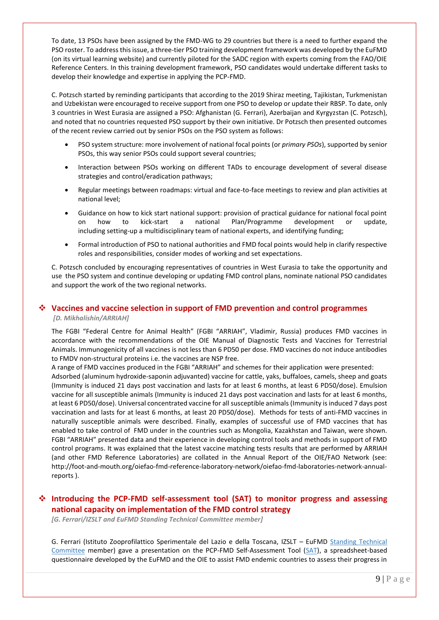To date, 13 PSOs have been assigned by the FMD-WG to 29 countries but there is a need to further expand the PSO roster. To address this issue, a three-tier PSO training development framework was developed by the EuFMD (on its virtual learning website) and currently piloted for the SADC region with experts coming from the FAO/OIE Reference Centers. In this training development framework, PSO candidates would undertake different tasks to develop their knowledge and expertise in applying the PCP-FMD.

C. Potzsch started by reminding participants that according to the 2019 Shiraz meeting, Tajikistan, Turkmenistan and Uzbekistan were encouraged to receive support from one PSO to develop or update their RBSP. To date, only 3 countries in West Eurasia are assigned a PSO: Afghanistan (G. Ferrari), Azerbaijan and Kyrgyzstan (C. Potzsch), and noted that no countries requested PSO support by their own initiative. Dr Potzsch then presented outcomes of the recent review carried out by senior PSOs on the PSO system as follows:

- PSO system structure: more involvement of national focal points (or *primary PSOs*), supported by senior PSOs, this way senior PSOs could support several countries;
- Interaction between PSOs working on different TADs to encourage development of several disease strategies and control/eradication pathways;
- Regular meetings between roadmaps: virtual and face-to-face meetings to review and plan activities at national level;
- Guidance on how to kick start national support: provision of practical guidance for national focal point on how to kick-start a national Plan/Programme development or update, including setting-up a multidisciplinary team of national experts, and identifying funding;
- Formal introduction of PSO to national authorities and FMD focal points would help in clarify respective roles and responsibilities, consider modes of working and set expectations.

C. Potzsch concluded by encouraging representatives of countries in West Eurasia to take the opportunity and use the PSO system and continue developing or updating FMD control plans, nominate national PSO candidates and support the work of the two regional networks.

#### <span id="page-12-0"></span>❖ **Vaccines and vaccine selection in support of FMD prevention and control programmes**  *[D. Mikhalishin/ARRIAH]*

The FGBI "Federal Centre for Animal Health" (FGBI "ARRIAH", Vladimir, Russia) produces FMD vaccines in accordance with the recommendations of the OIE Manual of Diagnostic Tests and Vaccines for Terrestrial Animals. Immunogenicity of all vaccines is not less than 6 PD50 per dose. FMD vaccines do not induce antibodies to FMDV non-structural proteins i.e. the vaccines are NSP free.

A range of FMD vaccines produced in the FGBI "ARRIAH" and schemes for their application were presented: Adsorbed (aluminum hydroxide-saponin adjuvanted) vaccine for cattle, yaks, buffaloes, camels, sheep and goats (Immunity is induced 21 days post vaccination and lasts for at least 6 months, at least 6 PD50/dose). Emulsion vaccine for all susceptible animals (Immunity is induced 21 days post vaccination and lasts for at least 6 months, at least 6 PD50/dose). Universal concentrated vaccine for all susceptible animals (Immunity is induced 7 days post vaccination and lasts for at least 6 months, at least 20 PD50/dose). Methods for tests of anti-FMD vaccines in naturally susceptible animals were described. Finally, examples of successful use of FMD vaccines that has enabled to take control of FMD under in the countries such as Mongolia, Kazakhstan and Taiwan, were shown. FGBI "ARRIAH" presented data and their experience in developing control tools and methods in support of FMD control programs. It was explained that the latest vaccine matching tests results that are performed by ARRIAH (and other FMD Reference Laboratories) are collated in the Annual Report of the OIE/FAO Network (see: [http://foot-and-mouth.org/oiefao-fmd-reference-laboratory-network/oiefao-fmd-laboratories-network-annual](http://foot-and-mouth.org/oiefao-fmd-reference-laboratory-network/oiefao-fmd-laboratories-network-annual-reports)[reports](http://foot-and-mouth.org/oiefao-fmd-reference-laboratory-network/oiefao-fmd-laboratories-network-annual-reports) ).

## <span id="page-12-1"></span>❖ **Introducing the PCP-FMD self-assessment tool (SAT) to monitor progress and assessing national capacity on implementation of the FMD control strategy**

*[G. Ferrari/IZSLT and EuFMD Standing Technical Committee member]*

G. Ferrari (Istituto Zooprofilattico Sperimentale del Lazio e della Toscana, IZSLT – EuFMD [Standing Technical](http://www.fao.org/eufmd/who-we-are/structure/standing-technical-committee/fr/)  [Committee](http://www.fao.org/eufmd/who-we-are/structure/standing-technical-committee/fr/) member) gave a presentation on the PCP-FMD Self-Assessment Tool [\(SAT\)](https://www.eufmd.info/sat-pcp-fmd), a spreadsheet-based questionnaire developed by the EuFMD and the OIE to assist FMD endemic countries to assess their progress in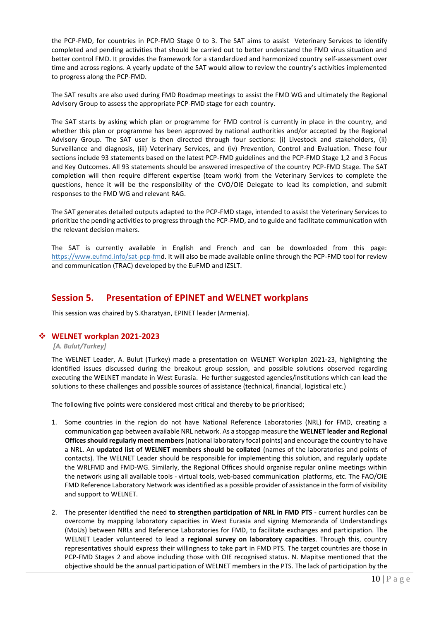the PCP-FMD, for countries in PCP-FMD Stage 0 to 3. The SAT aims to assist Veterinary Services to identify completed and pending activities that should be carried out to better understand the FMD virus situation and better control FMD. It provides the framework for a standardized and harmonized country self-assessment over time and across regions. A yearly update of the SAT would allow to review the country's activities implemented to progress along the PCP-FMD.

The SAT results are also used during FMD Roadmap meetings to assist the FMD WG and ultimately the Regional Advisory Group to assess the appropriate PCP-FMD stage for each country.

The SAT starts by asking which plan or programme for FMD control is currently in place in the country, and whether this plan or programme has been approved by national authorities and/or accepted by the Regional Advisory Group. The SAT user is then directed through four sections: (i) Livestock and stakeholders, (ii) Surveillance and diagnosis, (iii) Veterinary Services, and (iv) Prevention, Control and Evaluation. These four sections include 93 statements based on the latest PCP-FMD guidelines and the PCP-FMD Stage 1,2 and 3 Focus and Key Outcomes. All 93 statements should be answered irrespective of the country PCP-FMD Stage. The SAT completion will then require different expertise (team work) from the Veterinary Services to complete the questions, hence it will be the responsibility of the CVO/OIE Delegate to lead its completion, and submit responses to the FMD WG and relevant RAG.

The SAT generates detailed outputs adapted to the PCP-FMD stage, intended to assist the Veterinary Services to prioritize the pending activities to progress through the PCP-FMD, and to guide and facilitate communication with the relevant decision makers.

<span id="page-13-0"></span>The SAT is currently available in English and French and can be downloaded from this page: [https://www.eufmd.info/sat-pcp-fmd.](https://www.eufmd.info/sat-pcp-fmd) It will also be made available online through the PCP-FMD tool for review and communication (TRAC) developed by the EuFMD and IZSLT.

## **Session 5. Presentation of EPINET and WELNET workplans**

This session was chaired by S.Kharatyan, EPINET leader (Armenia).

#### <span id="page-13-1"></span>❖ **WELNET workplan 2021-2023**

*[A. Bulut/Turkey]*

The WELNET Leader, A. Bulut (Turkey) made a presentation on WELNET Workplan 2021-23, highlighting the identified issues discussed during the breakout group session, and possible solutions observed regarding executing the WELNET mandate in West Eurasia. He further suggested agencies/institutions which can lead the solutions to these challenges and possible sources of assistance (technical, financial, logistical etc.)

The following five points were considered most critical and thereby to be prioritised;

- 1. Some countries in the region do not have National Reference Laboratories (NRL) for FMD, creating a communication gap between available NRL network. As a stopgap measure the **WELNET leader and Regional Officesshould regularly meet members** (national laboratory focal points) and encourage the country to have a NRL. An **updated list of WELNET members should be collated** (names of the laboratories and points of contacts). The WELNET Leader should be responsible for implementing this solution, and regularly update the WRLFMD and FMD-WG. Similarly, the Regional Offices should organise regular online meetings within the network using all available tools - virtual tools, web-based communication platforms, etc. The FAO/OIE FMD Reference Laboratory Network was identified as a possible provider of assistance in the form of visibility and support to WELNET.
- 2. The presenter identified the need **to strengthen participation of NRL in FMD PTS** current hurdles can be overcome by mapping laboratory capacities in West Eurasia and signing Memoranda of Understandings (MoUs) between NRLs and Reference Laboratories for FMD, to facilitate exchanges and participation. The WELNET Leader volunteered to lead a **regional survey on laboratory capacities**. Through this, country representatives should express their willingness to take part in FMD PTS. The target countries are those in PCP-FMD Stages 2 and above including those with OIE recognised status. N. Mapitse mentioned that the objective should be the annual participation of WELNET members in the PTS. The lack of participation by the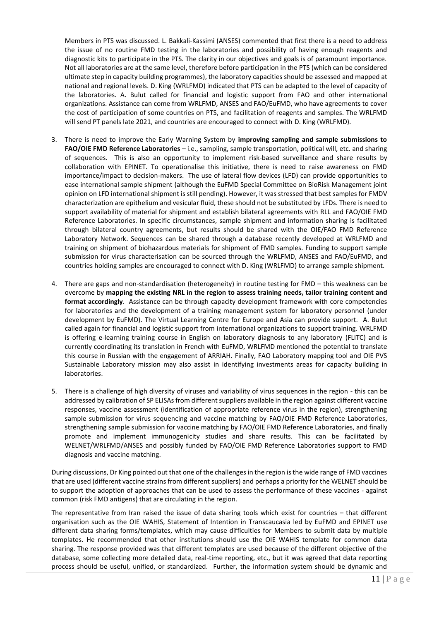Members in PTS was discussed. L. Bakkali-Kassimi (ANSES) commented that first there is a need to address the issue of no routine FMD testing in the laboratories and possibility of having enough reagents and diagnostic kits to participate in the PTS. The clarity in our objectives and goals is of paramount importance. Not all laboratories are at the same level, therefore before participation in the PTS (which can be considered ultimate step in capacity building programmes), the laboratory capacities should be assessed and mapped at national and regional levels. D. King (WRLFMD) indicated that PTS can be adapted to the level of capacity of the laboratories. A. Bulut called for financial and logistic support from FAO and other international organizations. Assistance can come from WRLFMD, ANSES and FAO/EuFMD, who have agreements to cover the cost of participation of some countries on PTS, and facilitation of reagents and samples. The WRLFMD will send PT panels late 2021, and countries are encouraged to connect with D. King (WRLFMD).

- 3. There is need to improve the Early Warning System by **improving sampling and sample submissions to FAO/OIE FMD Reference Laboratories** – i.e., sampling, sample transportation, political will, etc. and sharing of sequences. This is also an opportunity to implement risk-based surveillance and share results by collaboration with EPINET. To operationalise this initiative, there is need to raise awareness on FMD importance/impact to decision-makers. The use of lateral flow devices (LFD) can provide opportunities to ease international sample shipment (although the EuFMD Special Committee on BioRisk Management joint opinion on LFD international shipment is still pending). However, it was stressed that best samples for FMDV characterization are epithelium and vesicular fluid, these should not be substituted by LFDs. There is need to support availability of material for shipment and establish bilateral agreements with RLL and FAO/OIE FMD Reference Laboratories. In specific circumstances, sample shipment and information sharing is facilitated through bilateral country agreements, but results should be shared with the OIE/FAO FMD Reference Laboratory Network. Sequences can be shared through a database recently developed at WRLFMD and training on shipment of biohazardous materials for shipment of FMD samples. Funding to support sample submission for virus characterisation can be sourced through the WRLFMD, ANSES and FAO/EuFMD, and countries holding samples are encouraged to connect with D. King (WRLFMD) to arrange sample shipment.
- 4. There are gaps and non-standardisation (heterogeneity) in routine testing for FMD this weakness can be overcome by **mapping the existing NRL in the region to assess training needs, tailor training content and format accordingly**. Assistance can be through capacity development framework with core competencies for laboratories and the development of a training management system for laboratory personnel (under development by EuFMD). The Virtual Learning Centre for Europe and Asia can provide support. A. Bulut called again for financial and logistic support from international organizations to support training. WRLFMD is offering e-learning training course in English on laboratory diagnosis to any laboratory (FLITC) and is currently coordinating its translation in French with EuFMD, WRLFMD mentioned the potential to translate this course in Russian with the engagement of ARRIAH. Finally, FAO Laboratory mapping tool and OIE PVS Sustainable Laboratory mission may also assist in identifying investments areas for capacity building in laboratories.
- 5. There is a challenge of high diversity of viruses and variability of virus sequences in the region this can be addressed by calibration of SP ELISAs from different suppliers available in the region against different vaccine responses, vaccine assessment (identification of appropriate reference virus in the region), strengthening sample submission for virus sequencing and vaccine matching by FAO/OIE FMD Reference Laboratories, strengthening sample submission for vaccine matching by FAO/OIE FMD Reference Laboratories, and finally promote and implement immunogenicity studies and share results. This can be facilitated by WELNET/WRLFMD/ANSES and possibly funded by FAO/OIE FMD Reference Laboratories support to FMD diagnosis and vaccine matching.

During discussions, Dr King pointed out that one of the challenges in the region is the wide range of FMD vaccines that are used (different vaccine strains from different suppliers) and perhaps a priority for the WELNET should be to support the adoption of approaches that can be used to assess the performance of these vaccines - against common (risk FMD antigens) that are circulating in the region.

The representative from Iran raised the issue of data sharing tools which exist for countries – that different organisation such as the OIE WAHIS, Statement of Intention in Transcaucasia led by EuFMD and EPINET use different data sharing forms/templates, which may cause difficulties for Members to submit data by multiple templates. He recommended that other institutions should use the OIE WAHIS template for common data sharing. The response provided was that different templates are used because of the different objective of the database, some collecting more detailed data, real-time reporting, etc., but it was agreed that data reporting process should be useful, unified, or standardized. Further, the information system should be dynamic and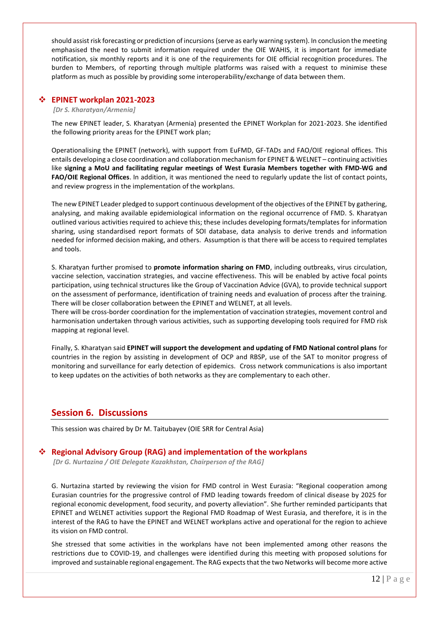should assist risk forecasting or prediction of incursions (serve as early warning system). In conclusion the meeting emphasised the need to submit information required under the OIE WAHIS, it is important for immediate notification, six monthly reports and it is one of the requirements for OIE official recognition procedures. The burden to Members, of reporting through multiple platforms was raised with a request to minimise these platform as much as possible by providing some interoperability/exchange of data between them.

#### <span id="page-15-0"></span>❖ **EPINET workplan 2021-2023**

#### *[Dr S. Kharatyan/Armenia]*

The new EPINET leader, S. Kharatyan (Armenia) presented the EPINET Workplan for 2021-2023. She identified the following priority areas for the EPINET work plan;

Operationalising the EPINET (network), with support from EuFMD, GF-TADs and FAO/OIE regional offices. This entails developing a close coordination and collaboration mechanism for EPINET & WELNET – continuing activities like **signing a MoU and facilitating regular meetings of West Eurasia Members together with FMD-WG and FAO/OIE Regional Offices**. In addition, it was mentioned the need to regularly update the list of contact points, and review progress in the implementation of the workplans.

The new EPINET Leader pledged to support continuous development of the objectives of the EPINET by gathering, analysing, and making available epidemiological information on the regional occurrence of FMD. S. Kharatyan outlined various activities required to achieve this; these includes developing formats/templates for information sharing, using standardised report formats of SOI database, data analysis to derive trends and information needed for informed decision making, and others. Assumption is that there will be access to required templates and tools.

S. Kharatyan further promised to **promote information sharing on FMD**, including outbreaks, virus circulation, vaccine selection, vaccination strategies, and vaccine effectiveness. This will be enabled by active focal points participation, using technical structures like the Group of Vaccination Advice (GVA), to provide technical support on the assessment of performance, identification of training needs and evaluation of process after the training. There will be closer collaboration between the EPINET and WELNET, at all levels.

There will be cross-border coordination for the implementation of vaccination strategies, movement control and harmonisation undertaken through various activities, such as supporting developing tools required for FMD risk mapping at regional level.

Finally, S. Kharatyan said **EPINET will support the development and updating of FMD National control plans** for countries in the region by assisting in development of OCP and RBSP, use of the SAT to monitor progress of monitoring and surveillance for early detection of epidemics. Cross network communications is also important to keep updates on the activities of both networks as they are complementary to each other.

## <span id="page-15-1"></span>**Session 6. Discussions**

This session was chaired by Dr M. Taitubayev (OIE SRR for Central Asia)

#### <span id="page-15-2"></span>❖ **Regional Advisory Group (RAG) and implementation of the workplans**

*[Dr G. Nurtazina / OIE Delegate Kazakhstan, Chairperson of the RAG]*

G. Nurtazina started by reviewing the vision for FMD control in West Eurasia: "Regional cooperation among Eurasian countries for the progressive control of FMD leading towards freedom of clinical disease by 2025 for regional economic development, food security, and poverty alleviation". She further reminded participants that EPINET and WELNET activities support the Regional FMD Roadmap of West Eurasia, and therefore, it is in the interest of the RAG to have the EPINET and WELNET workplans active and operational for the region to achieve its vision on FMD control.

She stressed that some activities in the workplans have not been implemented among other reasons the restrictions due to COVID-19, and challenges were identified during this meeting with proposed solutions for improved and sustainable regional engagement. The RAG expects that the two Networks will become more active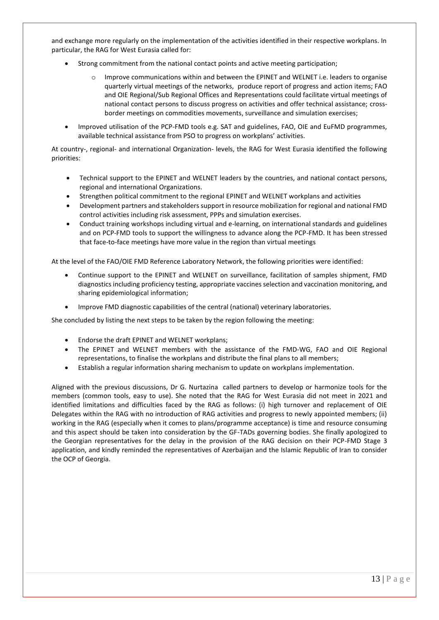and exchange more regularly on the implementation of the activities identified in their respective workplans. In particular, the RAG for West Eurasia called for:

- Strong commitment from the national contact points and active meeting participation;
	- Improve communications within and between the EPINET and WELNET i.e. leaders to organise quarterly virtual meetings of the networks, produce report of progress and action items; FAO and OIE Regional/Sub Regional Offices and Representations could facilitate virtual meetings of national contact persons to discuss progress on activities and offer technical assistance; crossborder meetings on commodities movements, surveillance and simulation exercises;
- Improved utilisation of the PCP-FMD tools e.g. SAT and guidelines, FAO, OIE and EuFMD programmes, available technical assistance from PSO to progress on workplans' activities.

At country-, regional- and international Organization- levels, the RAG for West Eurasia identified the following priorities:

- Technical support to the EPINET and WELNET leaders by the countries, and national contact persons, regional and international Organizations.
- Strengthen political commitment to the regional EPINET and WELNET workplans and activities
- Development partners and stakeholders support in resource mobilization for regional and national FMD control activities including risk assessment, PPPs and simulation exercises.
- Conduct training workshops including virtual and e-learning, on international standards and guidelines and on PCP-FMD tools to support the willingness to advance along the PCP-FMD. It has been stressed that face-to-face meetings have more value in the region than virtual meetings

At the level of the FAO/OIE FMD Reference Laboratory Network, the following priorities were identified:

- Continue support to the EPINET and WELNET on surveillance, facilitation of samples shipment, FMD diagnostics including proficiency testing, appropriate vaccines selection and vaccination monitoring, and sharing epidemiological information;
- Improve FMD diagnostic capabilities of the central (national) veterinary laboratories.

She concluded by listing the next steps to be taken by the region following the meeting:

- Endorse the draft EPINET and WELNET workplans;
- The EPINET and WELNET members with the assistance of the FMD-WG, FAO and OIE Regional representations, to finalise the workplans and distribute the final plans to all members;
- Establish a regular information sharing mechanism to update on workplans implementation.

Aligned with the previous discussions, Dr G. Nurtazina called partners to develop or harmonize tools for the members (common tools, easy to use). She noted that the RAG for West Eurasia did not meet in 2021 and identified limitations and difficulties faced by the RAG as follows: (i) high turnover and replacement of OIE Delegates within the RAG with no introduction of RAG activities and progress to newly appointed members; (ii) working in the RAG (especially when it comes to plans/programme acceptance) is time and resource consuming and this aspect should be taken into consideration by the GF-TADs governing bodies. She finally apologized to the Georgian representatives for the delay in the provision of the RAG decision on their PCP-FMD Stage 3 application, and kindly reminded the representatives of Azerbaijan and the Islamic Republic of Iran to consider the OCP of Georgia.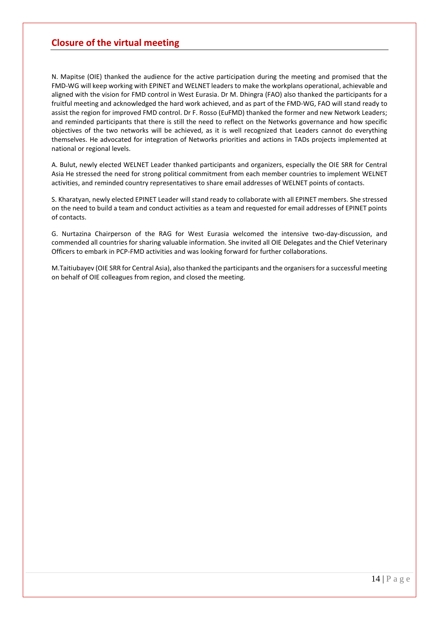## <span id="page-17-0"></span>**Closure of the virtual meeting**

N. Mapitse (OIE) thanked the audience for the active participation during the meeting and promised that the FMD-WG will keep working with EPINET and WELNET leaders to make the workplans operational, achievable and aligned with the vision for FMD control in West Eurasia. Dr M. Dhingra (FAO) also thanked the participants for a fruitful meeting and acknowledged the hard work achieved, and as part of the FMD-WG, FAO will stand ready to assist the region for improved FMD control. Dr F. Rosso (EuFMD) thanked the former and new Network Leaders; and reminded participants that there is still the need to reflect on the Networks governance and how specific objectives of the two networks will be achieved, as it is well recognized that Leaders cannot do everything themselves. He advocated for integration of Networks priorities and actions in TADs projects implemented at national or regional levels.

A. Bulut, newly elected WELNET Leader thanked participants and organizers, especially the OIE SRR for Central Asia He stressed the need for strong political commitment from each member countries to implement WELNET activities, and reminded country representatives to share email addresses of WELNET points of contacts.

S. Kharatyan, newly elected EPINET Leader will stand ready to collaborate with all EPINET members. She stressed on the need to build a team and conduct activities as a team and requested for email addresses of EPINET points of contacts.

G. Nurtazina Chairperson of the RAG for West Eurasia welcomed the intensive two-day-discussion, and commended all countries for sharing valuable information. She invited all OIE Delegates and the Chief Veterinary Officers to embark in PCP-FMD activities and was looking forward for further collaborations.

M.Taitiubayev (OIE SRR for Central Asia), also thanked the participants and the organisers for a successful meeting on behalf of OIE colleagues from region, and closed the meeting.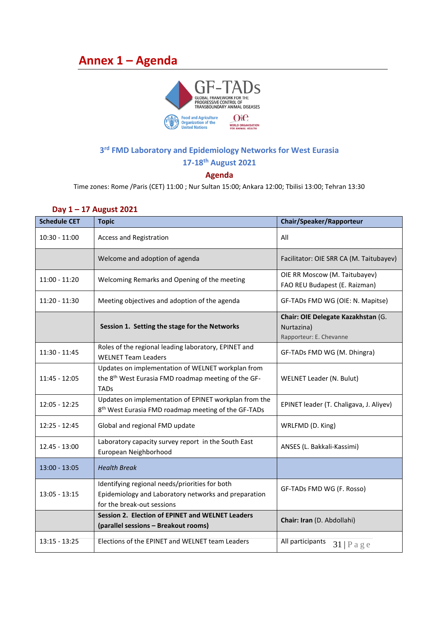# <span id="page-18-0"></span>**Annex 1 – Agenda**



## **3 rd FMD Laboratory and Epidemiology Networks for West Eurasia**

**17-18th August 2021**

### **Agenda**

Time zones: Rome /Paris (CET) 11:00 ; Nur Sultan 15:00; Ankara 12:00; Tbilisi 13:00; Tehran 13:30

| <b>Schedule CET</b> | <b>Topic</b>                                                                                                                         | Chair/Speaker/Rapporteur                                                    |  |
|---------------------|--------------------------------------------------------------------------------------------------------------------------------------|-----------------------------------------------------------------------------|--|
| 10:30 - 11:00       | Access and Registration                                                                                                              | All                                                                         |  |
|                     | Welcome and adoption of agenda                                                                                                       | Facilitator: OIE SRR CA (M. Taitubayev)                                     |  |
| $11:00 - 11:20$     | Welcoming Remarks and Opening of the meeting                                                                                         | OIE RR Moscow (M. Taitubayev)<br>FAO REU Budapest (E. Raizman)              |  |
| 11:20 - 11:30       | Meeting objectives and adoption of the agenda                                                                                        | GF-TADs FMD WG (OIE: N. Mapitse)                                            |  |
|                     | Session 1. Setting the stage for the Networks                                                                                        | Chair: OIE Delegate Kazakhstan (G.<br>Nurtazina)<br>Rapporteur: E. Chevanne |  |
| $11:30 - 11:45$     | Roles of the regional leading laboratory, EPINET and<br><b>WELNET Team Leaders</b>                                                   | GF-TADs FMD WG (M. Dhingra)                                                 |  |
| $11:45 - 12:05$     | Updates on implementation of WELNET workplan from<br>the 8 <sup>th</sup> West Eurasia FMD roadmap meeting of the GF-<br><b>TADs</b>  | <b>WELNET Leader (N. Bulut)</b>                                             |  |
| $12:05 - 12:25$     | Updates on implementation of EPINET workplan from the<br>8 <sup>th</sup> West Eurasia FMD roadmap meeting of the GF-TADs             | EPINET leader (T. Chaligava, J. Aliyev)                                     |  |
| $12:25 - 12:45$     | Global and regional FMD update                                                                                                       | WRLFMD (D. King)                                                            |  |
| 12.45 - 13:00       | Laboratory capacity survey report in the South East<br>European Neighborhood                                                         | ANSES (L. Bakkali-Kassimi)                                                  |  |
| $13:00 - 13:05$     | <b>Health Break</b>                                                                                                                  |                                                                             |  |
| $13:05 - 13:15$     | Identifying regional needs/priorities for both<br>Epidemiology and Laboratory networks and preparation<br>for the break-out sessions | GF-TADs FMD WG (F. Rosso)                                                   |  |
|                     | Session 2. Election of EPINET and WELNET Leaders<br>(parallel sessions - Breakout rooms)                                             | Chair: Iran (D. Abdollahi)                                                  |  |
| $13:15 - 13:25$     | Elections of the EPINET and WELNET team Leaders                                                                                      | All participants<br>$31$   P a g e                                          |  |

### **Day 1 – 17 August 2021**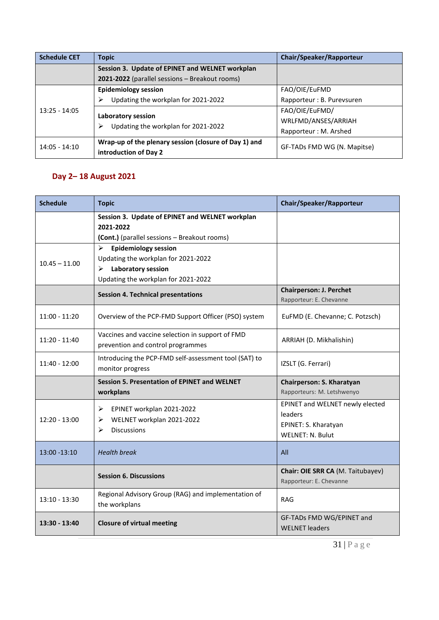| <b>Schedule CET</b> | <b>Topic</b>                                                   | Chair/Speaker/Rapporteur    |  |
|---------------------|----------------------------------------------------------------|-----------------------------|--|
|                     | Session 3. Update of EPINET and WELNET workplan                |                             |  |
|                     | 2021-2022 (parallel sessions - Breakout rooms)                 |                             |  |
|                     | <b>Epidemiology session</b>                                    | FAO/OIE/EuFMD               |  |
|                     | Updating the workplan for 2021-2022<br>⋗                       | Rapporteur: B. Purevsuren   |  |
| $13:25 - 14:05$     | Laboratory session<br>Updating the workplan for 2021-2022<br>⋗ | FAO/OIE/EuFMD/              |  |
|                     |                                                                | WRLFMD/ANSES/ARRIAH         |  |
|                     |                                                                | Rapporteur: M. Arshed       |  |
| $14:05 - 14:10$     | Wrap-up of the plenary session (closure of Day 1) and          | GF-TADs FMD WG (N. Mapitse) |  |
|                     | introduction of Day 2                                          |                             |  |

# **Day 2– 18 August 2021**

| <b>Schedule</b> | <b>Topic</b>                                                                                                                                             | Chair/Speaker/Rapporteur                                                                      |  |
|-----------------|----------------------------------------------------------------------------------------------------------------------------------------------------------|-----------------------------------------------------------------------------------------------|--|
|                 | Session 3. Update of EPINET and WELNET workplan<br>2021-2022<br>(Cont.) (parallel sessions - Breakout rooms)                                             |                                                                                               |  |
| $10.45 - 11.00$ | <b>Epidemiology session</b><br>$\triangleright$<br>Updating the workplan for 2021-2022<br>Laboratory session<br>➤<br>Updating the workplan for 2021-2022 |                                                                                               |  |
|                 | <b>Session 4. Technical presentations</b>                                                                                                                | <b>Chairperson: J. Perchet</b><br>Rapporteur: E. Chevanne                                     |  |
| $11:00 - 11:20$ | Overview of the PCP-FMD Support Officer (PSO) system                                                                                                     | EuFMD (E. Chevanne; C. Potzsch)                                                               |  |
| $11:20 - 11:40$ | Vaccines and vaccine selection in support of FMD<br>prevention and control programmes                                                                    | ARRIAH (D. Mikhalishin)                                                                       |  |
| 11:40 - 12:00   | Introducing the PCP-FMD self-assessment tool (SAT) to<br>monitor progress                                                                                | IZSLT (G. Ferrari)                                                                            |  |
|                 | <b>Session 5. Presentation of EPINET and WELNET</b><br>workplans                                                                                         | Chairperson: S. Kharatyan<br>Rapporteurs: M. Letshwenyo                                       |  |
| $12:20 - 13:00$ | ≻<br>EPINET workplan 2021-2022<br>WELNET workplan 2021-2022<br>⋗<br><b>Discussions</b><br>⋗                                                              | EPINET and WELNET newly elected<br>leaders<br>EPINET: S. Kharatyan<br><b>WELNET: N. Bulut</b> |  |
| $13:00 - 13:10$ | <b>Health break</b>                                                                                                                                      | All                                                                                           |  |
|                 | <b>Session 6. Discussions</b>                                                                                                                            | Chair: OIE SRR CA (M. Taitubayev)<br>Rapporteur: E. Chevanne                                  |  |
| $13:10 - 13:30$ | Regional Advisory Group (RAG) and implementation of<br>the workplans                                                                                     | <b>RAG</b>                                                                                    |  |
| 13:30 - 13:40   | <b>Closure of virtual meeting</b>                                                                                                                        | GF-TADs FMD WG/EPINET and<br><b>WELNET leaders</b>                                            |  |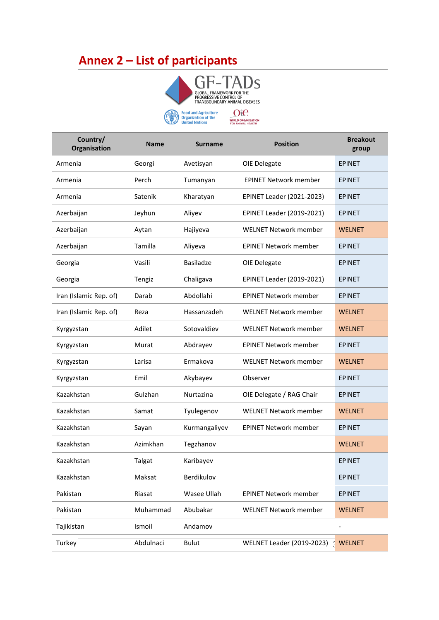# <span id="page-20-0"></span>**Annex 2 – List of participants**



**WELNET Country/ Organisation Name Surname Position Breakout group** Armenia Georgi Avetisyan OIE Delegate EPINET Armenia Perch Tumanyan EPINET Network member EPINET Armenia Satenik Kharatyan EPINET Leader (2021-2023) EPINET Azerbaijan Jeyhun Aliyev EPINET Leader (2019-2021) EPINET Azerbaijan Aytan Hajiyeva WELNET Network member WELNET Azerbaijan Tamilla Aliyeva EPINET Network member EPINET Georgia **Casili** Basiladze OIE Delegate **EPINET** Georgia Tengiz Chaligava EPINET Leader (2019-2021) EPINET Iran (Islamic Rep. of) Darab Abdollahi EPINET Network member EPINET Iran (Islamic Rep. of) Reza Hassanzadeh WELNET Network member WELNET Kyrgyzstan Madilet Sotovaldiev WELNET Network member WELNET Kyrgyzstan Murat Abdrayev EPINET Network member EPINET Kyrgyzstan **Ermakova** WELNET Network member WELNET Kyrgyzstan Emil Akybayev Observer EPINET Kazakhstan Gulzhan Nurtazina OIE Delegate / RAG Chair EPINET Kazakhstan Samat Tyulegenov WELNET Network member WELNET Kazakhstan Sayan Kurmangaliyev EPINET Network member EPINET Kazakhstan Mazimkhan Tegzhanov Mazimkhan WELNET Kazakhstan Talgat Karibayev EPINET Kazakhstan Maksat Berdikulov EPINET Pakistan Riasat Wasee Ullah EPINET Network member EPINET Pakistan Muhammad Abubakar WELNET Network member WELNET Tajikistan Ismoil Andamov - Turkey Abdulnaci Bulut WELNET Leader (2019-2023) WELNET